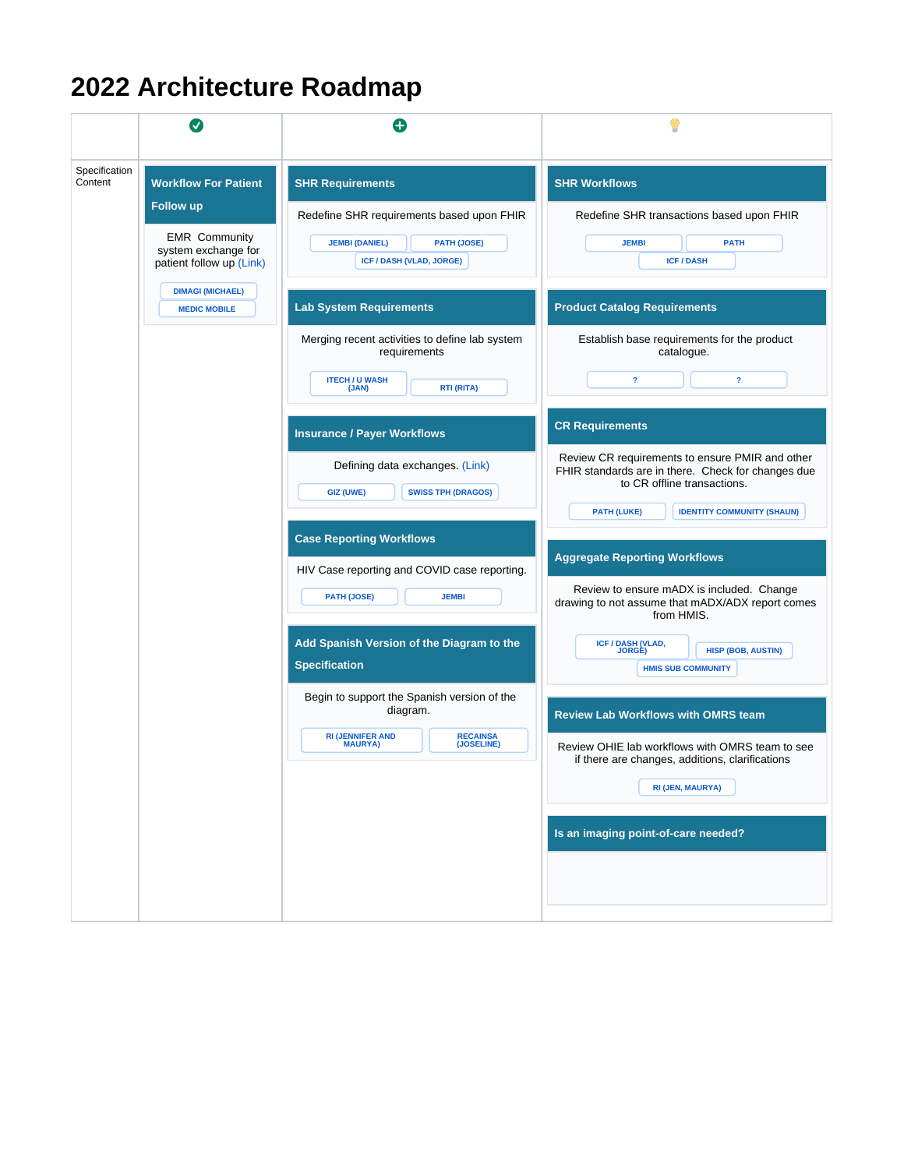## **2022 Architecture Roadmap**

|                          | $\bm{U}$                                                                                                                                                                     | O                                                                                                                                                |                                                                                                                                                                                                                           |
|--------------------------|------------------------------------------------------------------------------------------------------------------------------------------------------------------------------|--------------------------------------------------------------------------------------------------------------------------------------------------|---------------------------------------------------------------------------------------------------------------------------------------------------------------------------------------------------------------------------|
| Specification<br>Content | <b>Workflow For Patient</b><br><b>Follow up</b><br><b>EMR</b> Community<br>system exchange for<br>patient follow up (Link)<br><b>DIMAGI (MICHAEL)</b><br><b>MEDIC MOBILE</b> | <b>SHR Requirements</b><br>Redefine SHR requirements based upon FHIR<br><b>JEMBI (DANIEL)</b><br><b>PATH (JOSE)</b><br>ICF / DASH (VLAD, JORGE)  | <b>SHR Workflows</b><br>Redefine SHR transactions based upon FHIR<br><b>JEMBI</b><br><b>PATH</b><br><b>ICF/DASH</b>                                                                                                       |
|                          |                                                                                                                                                                              | <b>Lab System Requirements</b><br>Merging recent activities to define lab system<br>requirements<br><b>ITECH / U WASH</b><br>RTI (RITA)<br>(JAN) | <b>Product Catalog Requirements</b><br>Establish base requirements for the product<br>catalogue.<br>$\overline{\mathbf{r}}$<br>$\overline{\mathbf{r}}$                                                                    |
|                          |                                                                                                                                                                              | <b>Insurance / Payer Workflows</b><br>Defining data exchanges. (Link)<br><b>SWISS TPH (DRAGOS)</b><br><b>GIZ (UWE)</b>                           | <b>CR Requirements</b><br>Review CR requirements to ensure PMIR and other<br>FHIR standards are in there. Check for changes due<br>to CR offline transactions.<br><b>IDENTITY COMMUNITY (SHAUN)</b><br><b>PATH (LUKE)</b> |
|                          |                                                                                                                                                                              | <b>Case Reporting Workflows</b><br>HIV Case reporting and COVID case reporting.<br><b>PATH (JOSE)</b><br><b>JEMBI</b>                            | <b>Aggregate Reporting Workflows</b><br>Review to ensure mADX is included. Change<br>drawing to not assume that mADX/ADX report comes<br>from HMIS.                                                                       |
|                          |                                                                                                                                                                              | Add Spanish Version of the Diagram to the<br><b>Specification</b><br>Begin to support the Spanish version of the<br>diagram.                     | ICF / DASH (VLAD,<br>JORGE)<br><b>HISP (BOB, AUSTIN)</b><br><b>HMIS SUB COMMUNITY</b>                                                                                                                                     |
|                          |                                                                                                                                                                              | <b>RI (JENNIFER AND MAURYA)</b><br><b>RECAINSA</b><br>(JOSELINE)                                                                                 | <b>Review Lab Workflows with OMRS team</b><br>Review OHIE lab workflows with OMRS team to see<br>if there are changes, additions, clarifications<br>RI (JEN, MAURYA)                                                      |
|                          |                                                                                                                                                                              |                                                                                                                                                  | Is an imaging point-of-care needed?                                                                                                                                                                                       |